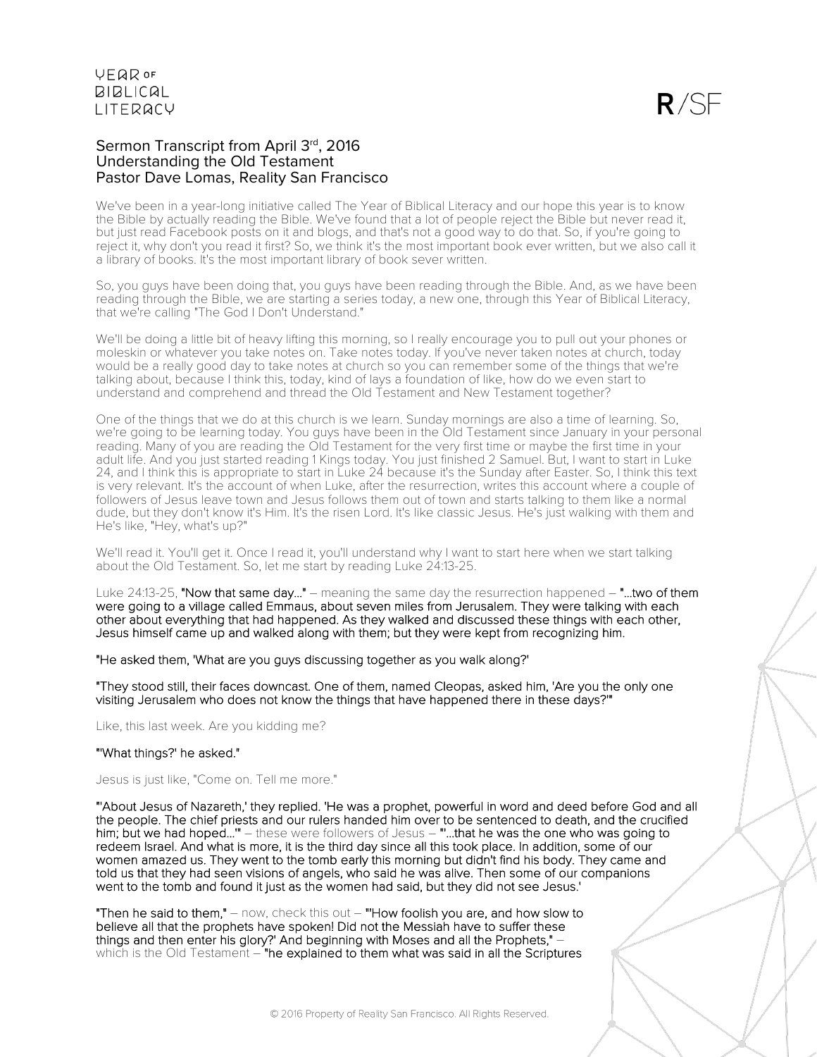### Sermon Transcript from April 3rd, 2016 Understanding the Old Testament Pastor Dave Lomas, Reality San Francisco

We've been in a year-long initiative called The Year of Biblical Literacy and our hope this year is to know the Bible by actually reading the Bible. We've found that a lot of people reject the Bible but never read it, but just read Facebook posts on it and blogs, and that's not a good way to do that. So, if you're going to reject it, why don't you read it first? So, we think it's the most important book ever written, but we also call it a library of books. It's the most important library of book sever written.

So, you guys have been doing that, you guys have been reading through the Bible. And, as we have been reading through the Bible, we are starting a series today, a new one, through this Year of Biblical Literacy, that we're calling "The God I Don't Understand."

We'll be doing a little bit of heavy lifting this morning, so I really encourage you to pull out your phones or moleskin or whatever you take notes on. Take notes today. If you've never taken notes at church, today would be a really good day to take notes at church so you can remember some of the things that we're talking about, because I think this, today, kind of lays a foundation of like, how do we even start to understand and comprehend and thread the Old Testament and New Testament together?

One of the things that we do at this church is we learn. Sunday mornings are also a time of learning. So, we're going to be learning today. You guys have been in the Old Testament since January in your personal reading. Many of you are reading the Old Testament for the very first time or maybe the first time in your adult life. And you just started reading 1 Kings today. You just finished 2 Samuel. But, I want to start in Luke 24, and I think this is appropriate to start in Luke 24 because it's the Sunday after Easter. So, I think this text is very relevant. It's the account of when Luke, after the resurrection, writes this account where a couple of followers of Jesus leave town and Jesus follows them out of town and starts talking to them like a normal dude, but they don't know it's Him. It's the risen Lord. It's like classic Jesus. He's just walking with them and He's like, "Hey, what's up?"

We'll read it. You'll get it. Once I read it, you'll understand why I want to start here when we start talking about the Old Testament. So, let me start by reading Luke 24:13-25.

Luke 24:13-25, "Now that same day..." – meaning the same day the resurrection happened – "...two of them were going to a village called Emmaus, about seven miles from Jerusalem. They were talking with each other about everything that had happened. As they walked and discussed these things with each other, Jesus himself came up and walked along with them; but they were kept from recognizing him.

"He asked them, 'What are you guys discussing together as you walk along?'

"They stood still, their faces downcast. One of them, named Cleopas, asked him, 'Are you the only one visiting Jerusalem who does not know the things that have happened there in these days?'"

Like, this last week. Are you kidding me?

### "'What things?' he asked."

Jesus is just like, "Come on. Tell me more."

"'About Jesus of Nazareth,' they replied. 'He was a prophet, powerful in word and deed before God and all the people. The chief priests and our rulers handed him over to be sentenced to death, and the crucified him; but we had hoped..." – these were followers of Jesus – ""...that he was the one who was going to redeem Israel. And what is more, it is the third day since all this took place. In addition, some of our women amazed us. They went to the tomb early this morning but didn't find his body. They came and told us that they had seen visions of angels, who said he was alive. Then some of our companions went to the tomb and found it just as the women had said, but they did not see Jesus.'

"Then he said to them,"  $-$  now, check this out  $-$  "How foolish you are, and how slow to believe all that the prophets have spoken! Did not the Messiah have to suffer these things and then enter his glory?' And beginning with Moses and all the Prophets," – which is the Old Testament – "he explained to them what was said in all the Scriptures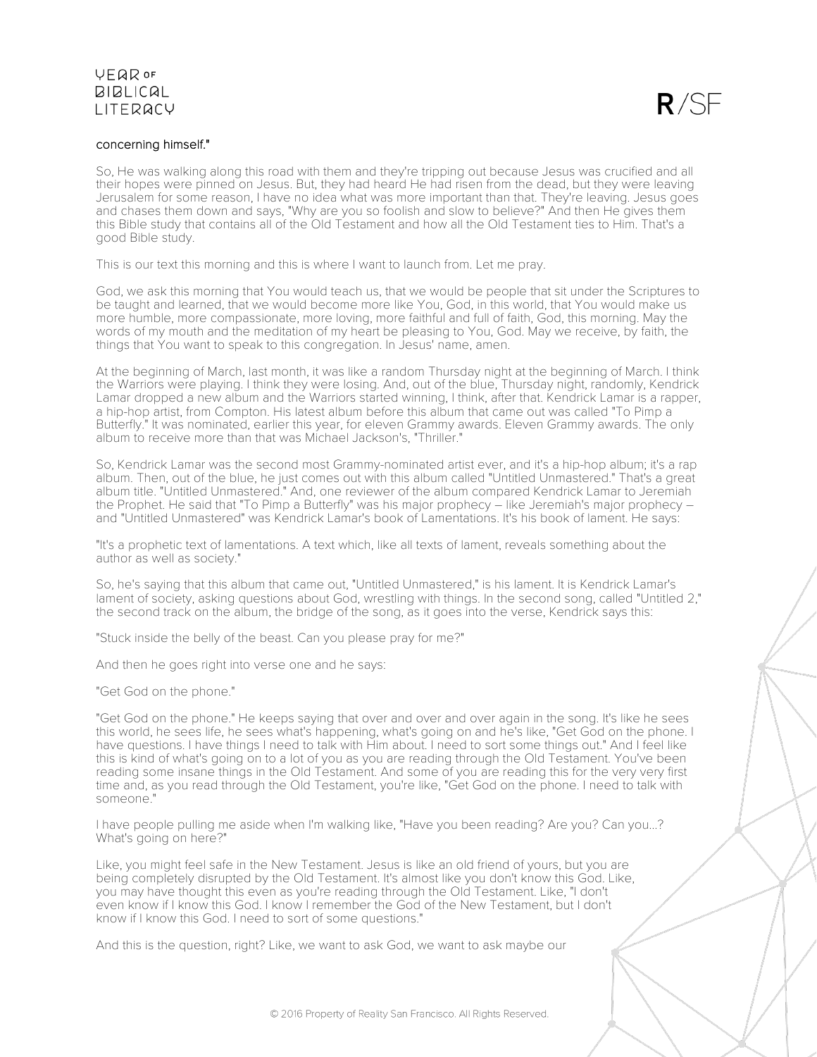

### concerning himself."

So, He was walking along this road with them and they're tripping out because Jesus was crucified and all their hopes were pinned on Jesus. But, they had heard He had risen from the dead, but they were leaving Jerusalem for some reason, I have no idea what was more important than that. They're leaving. Jesus goes and chases them down and says, "Why are you so foolish and slow to believe?" And then He gives them this Bible study that contains all of the Old Testament and how all the Old Testament ties to Him. That's a good Bible study.

This is our text this morning and this is where I want to launch from. Let me pray.

God, we ask this morning that You would teach us, that we would be people that sit under the Scriptures to be taught and learned, that we would become more like You, God, in this world, that You would make us more humble, more compassionate, more loving, more faithful and full of faith, God, this morning. May the words of my mouth and the meditation of my heart be pleasing to You, God. May we receive, by faith, the things that You want to speak to this congregation. In Jesus' name, amen.

At the beginning of March, last month, it was like a random Thursday night at the beginning of March. I think the Warriors were playing. I think they were losing. And, out of the blue, Thursday night, randomly, Kendrick Lamar dropped a new album and the Warriors started winning, I think, after that. Kendrick Lamar is a rapper, a hip-hop artist, from Compton. His latest album before this album that came out was called "To Pimp a Butterfly." It was nominated, earlier this year, for eleven Grammy awards. Eleven Grammy awards. The only album to receive more than that was Michael Jackson's, "Thriller."

So, Kendrick Lamar was the second most Grammy-nominated artist ever, and it's a hip-hop album; it's a rap album. Then, out of the blue, he just comes out with this album called "Untitled Unmastered." That's a great album title. "Untitled Unmastered." And, one reviewer of the album compared Kendrick Lamar to Jeremiah the Prophet. He said that "To Pimp a Butterfly" was his major prophecy – like Jeremiah's major prophecy – and "Untitled Unmastered" was Kendrick Lamar's book of Lamentations. It's his book of lament. He says:

"It's a prophetic text of lamentations. A text which, like all texts of lament, reveals something about the author as well as society."

So, he's saying that this album that came out, "Untitled Unmastered," is his lament. It is Kendrick Lamar's lament of society, asking questions about God, wrestling with things. In the second song, called "Untitled 2," the second track on the album, the bridge of the song, as it goes into the verse, Kendrick says this:

"Stuck inside the belly of the beast. Can you please pray for me?"

And then he goes right into verse one and he says:

"Get God on the phone."

"Get God on the phone." He keeps saying that over and over and over again in the song. It's like he sees this world, he sees life, he sees what's happening, what's going on and he's like, "Get God on the phone. I have questions. I have things I need to talk with Him about. I need to sort some things out." And I feel like this is kind of what's going on to a lot of you as you are reading through the Old Testament. You've been reading some insane things in the Old Testament. And some of you are reading this for the very very first time and, as you read through the Old Testament, you're like, "Get God on the phone. I need to talk with someone."

I have people pulling me aside when I'm walking like, "Have you been reading? Are you? Can you...? What's going on here?"

Like, you might feel safe in the New Testament. Jesus is like an old friend of yours, but you are being completely disrupted by the Old Testament. It's almost like you don't know this God. Like, you may have thought this even as you're reading through the Old Testament. Like, "I don't even know if I know this God. I know I remember the God of the New Testament, but I don't know if I know this God. I need to sort of some questions."

And this is the question, right? Like, we want to ask God, we want to ask maybe our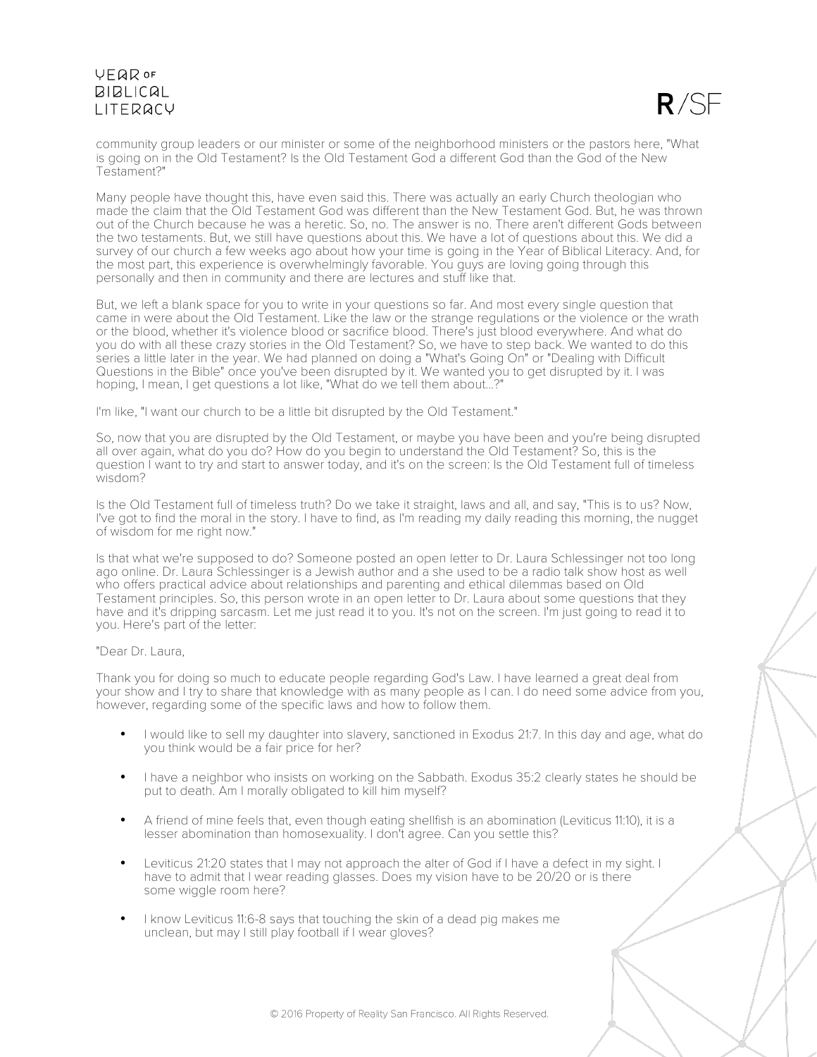

community group leaders or our minister or some of the neighborhood ministers or the pastors here, "What is going on in the Old Testament? Is the Old Testament God a different God than the God of the New Testament?"

Many people have thought this, have even said this. There was actually an early Church theologian who made the claim that the Old Testament God was different than the New Testament God. But, he was thrown out of the Church because he was a heretic. So, no. The answer is no. There aren't different Gods between the two testaments. But, we still have questions about this. We have a lot of questions about this. We did a survey of our church a few weeks ago about how your time is going in the Year of Biblical Literacy. And, for the most part, this experience is overwhelmingly favorable. You guys are loving going through this personally and then in community and there are lectures and stuff like that.

But, we left a blank space for you to write in your questions so far. And most every single question that came in were about the Old Testament. Like the law or the strange regulations or the violence or the wrath or the blood, whether it's violence blood or sacrifice blood. There's just blood everywhere. And what do you do with all these crazy stories in the Old Testament? So, we have to step back. We wanted to do this series a little later in the year. We had planned on doing a "What's Going On" or "Dealing with Difficult Questions in the Bible" once you've been disrupted by it. We wanted you to get disrupted by it. I was hoping, I mean, I get questions a lot like, "What do we tell them about...?"

I'm like, "I want our church to be a little bit disrupted by the Old Testament."

So, now that you are disrupted by the Old Testament, or maybe you have been and you're being disrupted all over again, what do you do? How do you begin to understand the Old Testament? So, this is the question I want to try and start to answer today, and it's on the screen: Is the Old Testament full of timeless wisdom?

Is the Old Testament full of timeless truth? Do we take it straight, laws and all, and say, "This is to us? Now, I've got to find the moral in the story. I have to find, as I'm reading my daily reading this morning, the nugget of wisdom for me right now."

Is that what we're supposed to do? Someone posted an open letter to Dr. Laura Schlessinger not too long ago online. Dr. Laura Schlessinger is a Jewish author and a she used to be a radio talk show host as well who offers practical advice about relationships and parenting and ethical dilemmas based on Old Testament principles. So, this person wrote in an open letter to Dr. Laura about some questions that they have and it's dripping sarcasm. Let me just read it to you. It's not on the screen. I'm just going to read it to you. Here's part of the letter:

### "Dear Dr. Laura,

Thank you for doing so much to educate people regarding God's Law. I have learned a great deal from your show and I try to share that knowledge with as many people as I can. I do need some advice from you, however, regarding some of the specific laws and how to follow them.

- I would like to sell my daughter into slavery, sanctioned in Exodus 21:7. In this day and age, what do you think would be a fair price for her?
- I have a neighbor who insists on working on the Sabbath. Exodus 35:2 clearly states he should be put to death. Am I morally obligated to kill him myself?
- A friend of mine feels that, even though eating shellfish is an abomination (Leviticus 11:10), it is a lesser abomination than homosexuality. I don't agree. Can you settle this?
- Leviticus 21:20 states that I may not approach the alter of God if I have a defect in my sight. I have to admit that I wear reading glasses. Does my vision have to be 20/20 or is there some wiggle room here?
- I know Leviticus 11:6-8 says that touching the skin of a dead pig makes me unclean, but may I still play football if I wear gloves?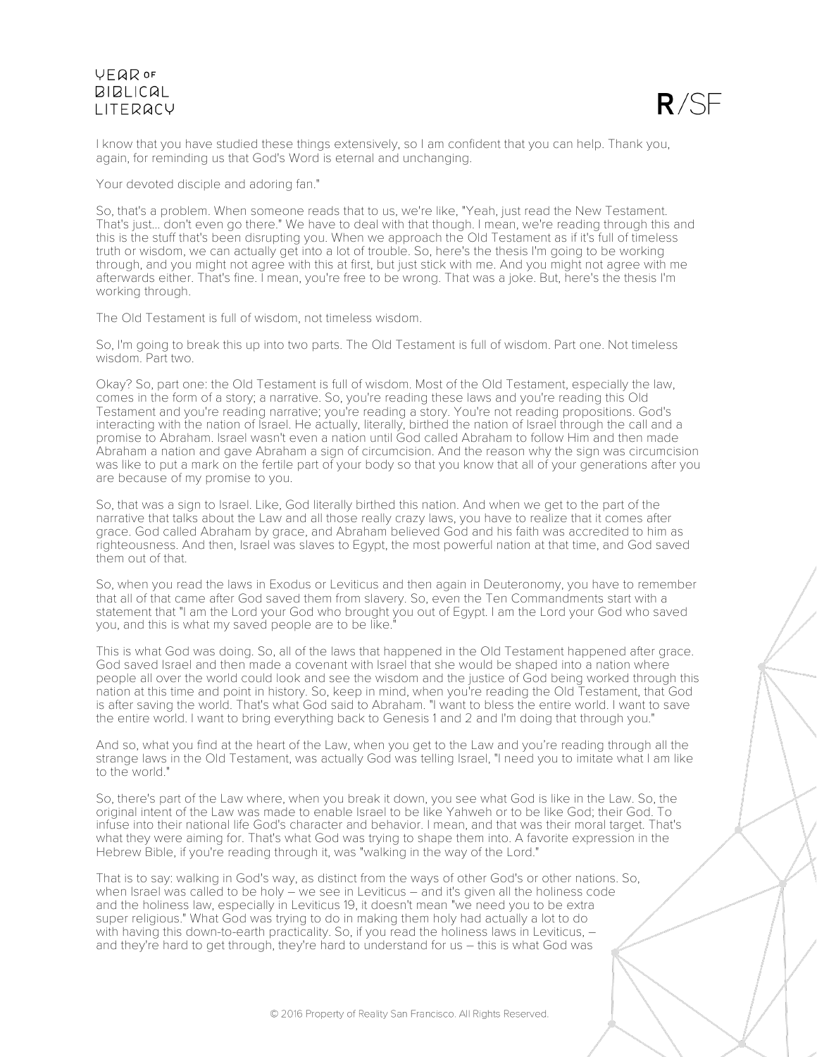

I know that you have studied these things extensively, so I am confident that you can help. Thank you, again, for reminding us that God's Word is eternal and unchanging.

Your devoted disciple and adoring fan."

So, that's a problem. When someone reads that to us, we're like, "Yeah, just read the New Testament. That's just... don't even go there." We have to deal with that though. I mean, we're reading through this and this is the stuff that's been disrupting you. When we approach the Old Testament as if it's full of timeless truth or wisdom, we can actually get into a lot of trouble. So, here's the thesis I'm going to be working through, and you might not agree with this at first, but just stick with me. And you might not agree with me afterwards either. That's fine. I mean, you're free to be wrong. That was a joke. But, here's the thesis I'm working through.

The Old Testament is full of wisdom, not timeless wisdom.

So, I'm going to break this up into two parts. The Old Testament is full of wisdom. Part one. Not timeless wisdom. Part two.

Okay? So, part one: the Old Testament is full of wisdom. Most of the Old Testament, especially the law, comes in the form of a story; a narrative. So, you're reading these laws and you're reading this Old Testament and you're reading narrative; you're reading a story. You're not reading propositions. God's interacting with the nation of Israel. He actually, literally, birthed the nation of Israel through the call and a promise to Abraham. Israel wasn't even a nation until God called Abraham to follow Him and then made Abraham a nation and gave Abraham a sign of circumcision. And the reason why the sign was circumcision was like to put a mark on the fertile part of your body so that you know that all of your generations after you are because of my promise to you.

So, that was a sign to Israel. Like, God literally birthed this nation. And when we get to the part of the narrative that talks about the Law and all those really crazy laws, you have to realize that it comes after grace. God called Abraham by grace, and Abraham believed God and his faith was accredited to him as righteousness. And then, Israel was slaves to Egypt, the most powerful nation at that time, and God saved them out of that.

So, when you read the laws in Exodus or Leviticus and then again in Deuteronomy, you have to remember that all of that came after God saved them from slavery. So, even the Ten Commandments start with a statement that "I am the Lord your God who brought you out of Egypt. I am the Lord your God who saved you, and this is what my saved people are to be like.

This is what God was doing. So, all of the laws that happened in the Old Testament happened after grace. God saved Israel and then made a covenant with Israel that she would be shaped into a nation where people all over the world could look and see the wisdom and the justice of God being worked through this nation at this time and point in history. So, keep in mind, when you're reading the Old Testament, that God is after saving the world. That's what God said to Abraham. "I want to bless the entire world. I want to save the entire world. I want to bring everything back to Genesis 1 and 2 and I'm doing that through you."

And so, what you find at the heart of the Law, when you get to the Law and you're reading through all the strange laws in the Old Testament, was actually God was telling Israel, "I need you to imitate what I am like to the world."

So, there's part of the Law where, when you break it down, you see what God is like in the Law. So, the original intent of the Law was made to enable Israel to be like Yahweh or to be like God; their God. To infuse into their national life God's character and behavior. I mean, and that was their moral target. That's what they were aiming for. That's what God was trying to shape them into. A favorite expression in the Hebrew Bible, if you're reading through it, was "walking in the way of the Lord."

That is to say: walking in God's way, as distinct from the ways of other God's or other nations. So, when Israel was called to be holy – we see in Leviticus – and it's given all the holiness code and the holiness law, especially in Leviticus 19, it doesn't mean "we need you to be extra super religious." What God was trying to do in making them holy had actually a lot to do with having this down-to-earth practicality. So, if you read the holiness laws in Leviticus, – and they're hard to get through, they're hard to understand for us – this is what God was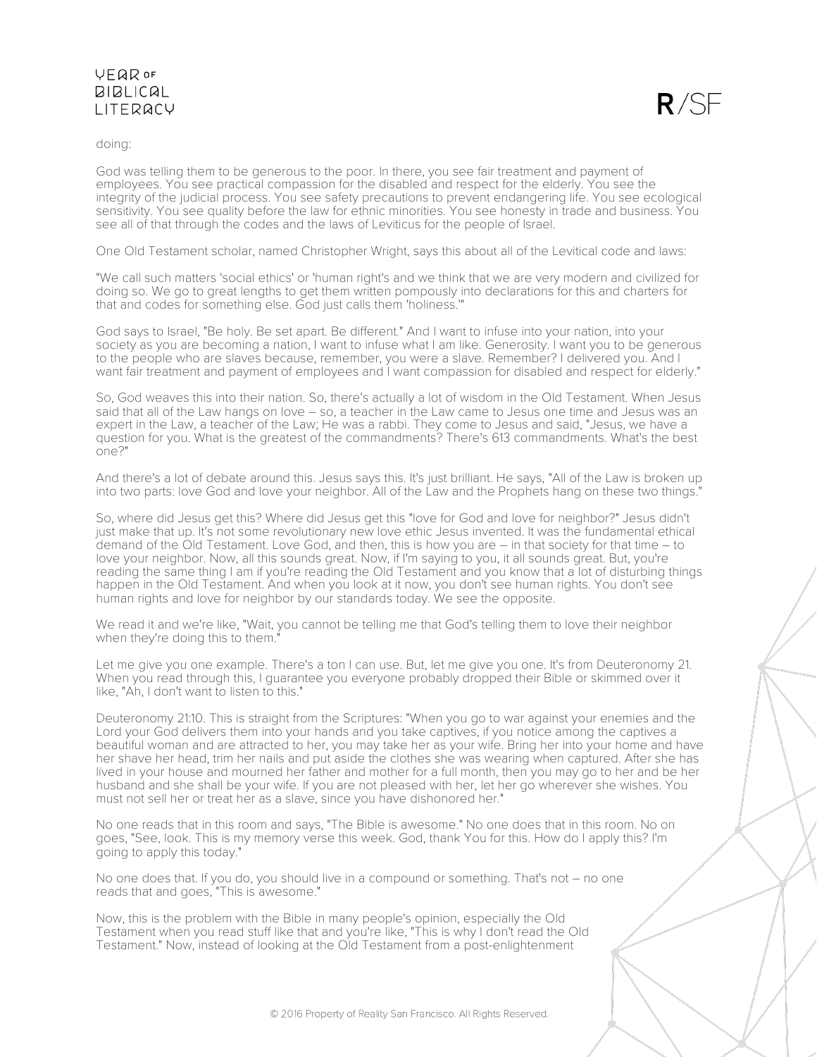

doing:

God was telling them to be generous to the poor. In there, you see fair treatment and payment of employees. You see practical compassion for the disabled and respect for the elderly. You see the integrity of the judicial process. You see safety precautions to prevent endangering life. You see ecological sensitivity. You see quality before the law for ethnic minorities. You see honesty in trade and business. You see all of that through the codes and the laws of Leviticus for the people of Israel.

One Old Testament scholar, named Christopher Wright, says this about all of the Levitical code and laws:

"We call such matters 'social ethics' or 'human right's and we think that we are very modern and civilized for doing so. We go to great lengths to get them written pompously into declarations for this and charters for that and codes for something else. God just calls them 'holiness.'"

God says to Israel, "Be holy. Be set apart. Be different." And I want to infuse into your nation, into your society as you are becoming a nation, I want to infuse what I am like. Generosity. I want you to be generous to the people who are slaves because, remember, you were a slave. Remember? I delivered you. And I want fair treatment and payment of employees and I want compassion for disabled and respect for elderly."

So, God weaves this into their nation. So, there's actually a lot of wisdom in the Old Testament. When Jesus said that all of the Law hangs on love – so, a teacher in the Law came to Jesus one time and Jesus was an expert in the Law, a teacher of the Law; He was a rabbi. They come to Jesus and said, "Jesus, we have a question for you. What is the greatest of the commandments? There's 613 commandments. What's the best one?"

And there's a lot of debate around this. Jesus says this. It's just brilliant. He says, "All of the Law is broken up into two parts: love God and love your neighbor. All of the Law and the Prophets hang on these two things."

So, where did Jesus get this? Where did Jesus get this "love for God and love for neighbor?" Jesus didn't just make that up. It's not some revolutionary new love ethic Jesus invented. It was the fundamental ethical demand of the Old Testament. Love God, and then, this is how you are – in that society for that time – to love your neighbor. Now, all this sounds great. Now, if I'm saying to you, it all sounds great. But, you're reading the same thing I am if you're reading the Old Testament and you know that a lot of disturbing things happen in the Old Testament. And when you look at it now, you don't see human rights. You don't see human rights and love for neighbor by our standards today. We see the opposite.

We read it and we're like, "Wait, you cannot be telling me that God's telling them to love their neighbor when they're doing this to them."

Let me give you one example. There's a ton I can use. But, let me give you one. It's from Deuteronomy 21. When you read through this, I guarantee you everyone probably dropped their Bible or skimmed over it like, "Ah, I don't want to listen to this."

Deuteronomy 21:10. This is straight from the Scriptures: "When you go to war against your enemies and the Lord your God delivers them into your hands and you take captives, if you notice among the captives a beautiful woman and are attracted to her, you may take her as your wife. Bring her into your home and have her shave her head, trim her nails and put aside the clothes she was wearing when captured. After she has lived in your house and mourned her father and mother for a full month, then you may go to her and be her husband and she shall be your wife. If you are not pleased with her, let her go wherever she wishes. You must not sell her or treat her as a slave, since you have dishonored her."

No one reads that in this room and says, "The Bible is awesome." No one does that in this room. No on goes, "See, look. This is my memory verse this week. God, thank You for this. How do I apply this? I'm going to apply this today."

No one does that. If you do, you should live in a compound or something. That's not – no one reads that and goes, "This is awesome."

Now, this is the problem with the Bible in many people's opinion, especially the Old Testament when you read stuff like that and you're like, "This is why I don't read the Old Testament." Now, instead of looking at the Old Testament from a post-enlightenment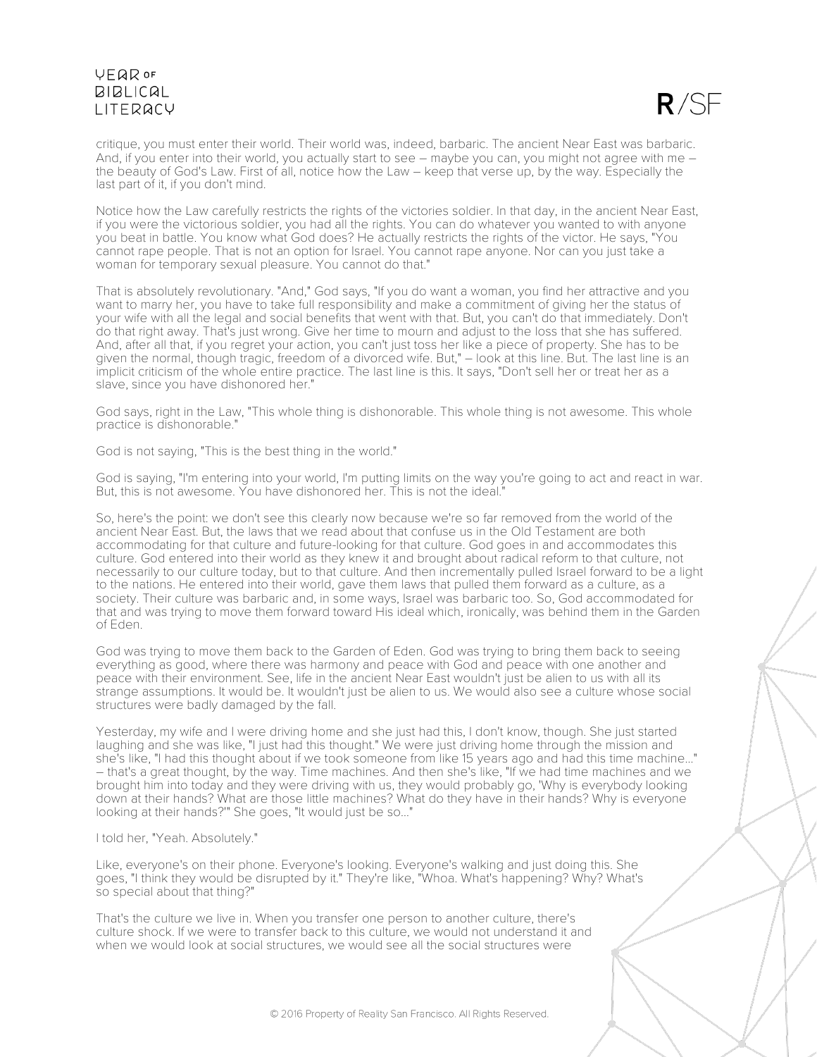

critique, you must enter their world. Their world was, indeed, barbaric. The ancient Near East was barbaric. And, if you enter into their world, you actually start to see – maybe you can, you might not agree with me – the beauty of God's Law. First of all, notice how the Law – keep that verse up, by the way. Especially the last part of it, if you don't mind.

Notice how the Law carefully restricts the rights of the victories soldier. In that day, in the ancient Near East, if you were the victorious soldier, you had all the rights. You can do whatever you wanted to with anyone you beat in battle. You know what God does? He actually restricts the rights of the victor. He says, "You cannot rape people. That is not an option for Israel. You cannot rape anyone. Nor can you just take a woman for temporary sexual pleasure. You cannot do that."

That is absolutely revolutionary. "And," God says, "If you do want a woman, you find her attractive and you want to marry her, you have to take full responsibility and make a commitment of giving her the status of your wife with all the legal and social benefits that went with that. But, you can't do that immediately. Don't do that right away. That's just wrong. Give her time to mourn and adjust to the loss that she has suffered. And, after all that, if you regret your action, you can't just toss her like a piece of property. She has to be given the normal, though tragic, freedom of a divorced wife. But," – look at this line. But. The last line is an implicit criticism of the whole entire practice. The last line is this. It says, "Don't sell her or treat her as a slave, since you have dishonored her."

God says, right in the Law, "This whole thing is dishonorable. This whole thing is not awesome. This whole practice is dishonorable."

God is not saying, "This is the best thing in the world."

God is saying, "I'm entering into your world, I'm putting limits on the way you're going to act and react in war. But, this is not awesome. You have dishonored her. This is not the ideal.

So, here's the point: we don't see this clearly now because we're so far removed from the world of the ancient Near East. But, the laws that we read about that confuse us in the Old Testament are both accommodating for that culture and future-looking for that culture. God goes in and accommodates this culture. God entered into their world as they knew it and brought about radical reform to that culture, not necessarily to our culture today, but to that culture. And then incrementally pulled Israel forward to be a light to the nations. He entered into their world, gave them laws that pulled them forward as a culture, as a society. Their culture was barbaric and, in some ways, Israel was barbaric too. So, God accommodated for that and was trying to move them forward toward His ideal which, ironically, was behind them in the Garden of Eden.

God was trying to move them back to the Garden of Eden. God was trying to bring them back to seeing everything as good, where there was harmony and peace with God and peace with one another and peace with their environment. See, life in the ancient Near East wouldn't just be alien to us with all its strange assumptions. It would be. It wouldn't just be alien to us. We would also see a culture whose social structures were badly damaged by the fall.

Yesterday, my wife and I were driving home and she just had this, I don't know, though. She just started laughing and she was like, "I just had this thought." We were just driving home through the mission and she's like, "I had this thought about if we took someone from like 15 years ago and had this time machine..." – that's a great thought, by the way. Time machines. And then she's like, "If we had time machines and we brought him into today and they were driving with us, they would probably go, 'Why is everybody looking down at their hands? What are those little machines? What do they have in their hands? Why is everyone looking at their hands?" She goes, "It would just be so..."

### I told her, "Yeah. Absolutely."

Like, everyone's on their phone. Everyone's looking. Everyone's walking and just doing this. She goes, "I think they would be disrupted by it." They're like, "Whoa. What's happening? Why? What's so special about that thing?"

That's the culture we live in. When you transfer one person to another culture, there's culture shock. If we were to transfer back to this culture, we would not understand it and when we would look at social structures, we would see all the social structures were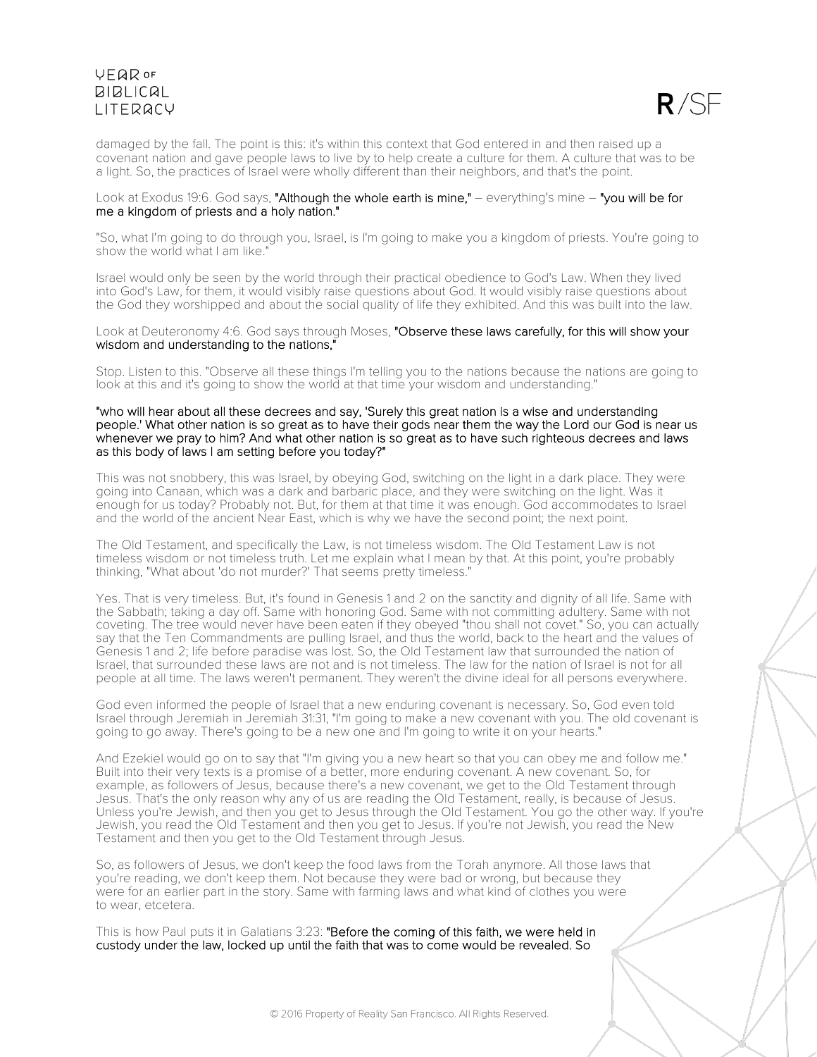

damaged by the fall. The point is this: it's within this context that God entered in and then raised up a covenant nation and gave people laws to live by to help create a culture for them. A culture that was to be a light. So, the practices of Israel were wholly different than their neighbors, and that's the point.

### Look at Exodus 19:6. God says, "Although the whole earth is mine," - everything's mine - "you will be for me a kingdom of priests and a holy nation."

"So, what I'm going to do through you, Israel, is I'm going to make you a kingdom of priests. You're going to show the world what I am like."

Israel would only be seen by the world through their practical obedience to God's Law. When they lived into God's Law, for them, it would visibly raise questions about God. It would visibly raise questions about the God they worshipped and about the social quality of life they exhibited. And this was built into the law.

### Look at Deuteronomy 4:6. God says through Moses, "Observe these laws carefully, for this will show your wisdom and understanding to the nations,"

Stop. Listen to this. "Observe all these things I'm telling you to the nations because the nations are going to look at this and it's going to show the world at that time your wisdom and understanding."

#### "who will hear about all these decrees and say, 'Surely this great nation is a wise and understanding people.' What other nation is so great as to have their gods near them the way the Lord our God is near us whenever we pray to him? And what other nation is so great as to have such righteous decrees and laws as this body of laws I am setting before you today?"

This was not snobbery, this was Israel, by obeying God, switching on the light in a dark place. They were going into Canaan, which was a dark and barbaric place, and they were switching on the light. Was it enough for us today? Probably not. But, for them at that time it was enough. God accommodates to Israel and the world of the ancient Near East, which is why we have the second point; the next point.

The Old Testament, and specifically the Law, is not timeless wisdom. The Old Testament Law is not timeless wisdom or not timeless truth. Let me explain what I mean by that. At this point, you're probably thinking, "What about 'do not murder?' That seems pretty timeless."

Yes. That is very timeless. But, it's found in Genesis 1 and 2 on the sanctity and dignity of all life. Same with the Sabbath; taking a day off. Same with honoring God. Same with not committing adultery. Same with not coveting. The tree would never have been eaten if they obeyed "thou shall not covet." So, you can actually say that the Ten Commandments are pulling Israel, and thus the world, back to the heart and the values of Genesis 1 and 2; life before paradise was lost. So, the Old Testament law that surrounded the nation of Israel, that surrounded these laws are not and is not timeless. The law for the nation of Israel is not for all people at all time. The laws weren't permanent. They weren't the divine ideal for all persons everywhere.

God even informed the people of Israel that a new enduring covenant is necessary. So, God even told Israel through Jeremiah in Jeremiah 31:31, "I'm going to make a new covenant with you. The old covenant is going to go away. There's going to be a new one and I'm going to write it on your hearts."

And Ezekiel would go on to say that "I'm giving you a new heart so that you can obey me and follow me." Built into their very texts is a promise of a better, more enduring covenant. A new covenant. So, for example, as followers of Jesus, because there's a new covenant, we get to the Old Testament through Jesus. That's the only reason why any of us are reading the Old Testament, really, is because of Jesus. Unless you're Jewish, and then you get to Jesus through the Old Testament. You go the other way. If you're Jewish, you read the Old Testament and then you get to Jesus. If you're not Jewish, you read the New Testament and then you get to the Old Testament through Jesus.

So, as followers of Jesus, we don't keep the food laws from the Torah anymore. All those laws that you're reading, we don't keep them. Not because they were bad or wrong, but because they were for an earlier part in the story. Same with farming laws and what kind of clothes you were to wear, etcetera.

This is how Paul puts it in Galatians 3:23: "Before the coming of this faith, we were held in custody under the law, locked up until the faith that was to come would be revealed. So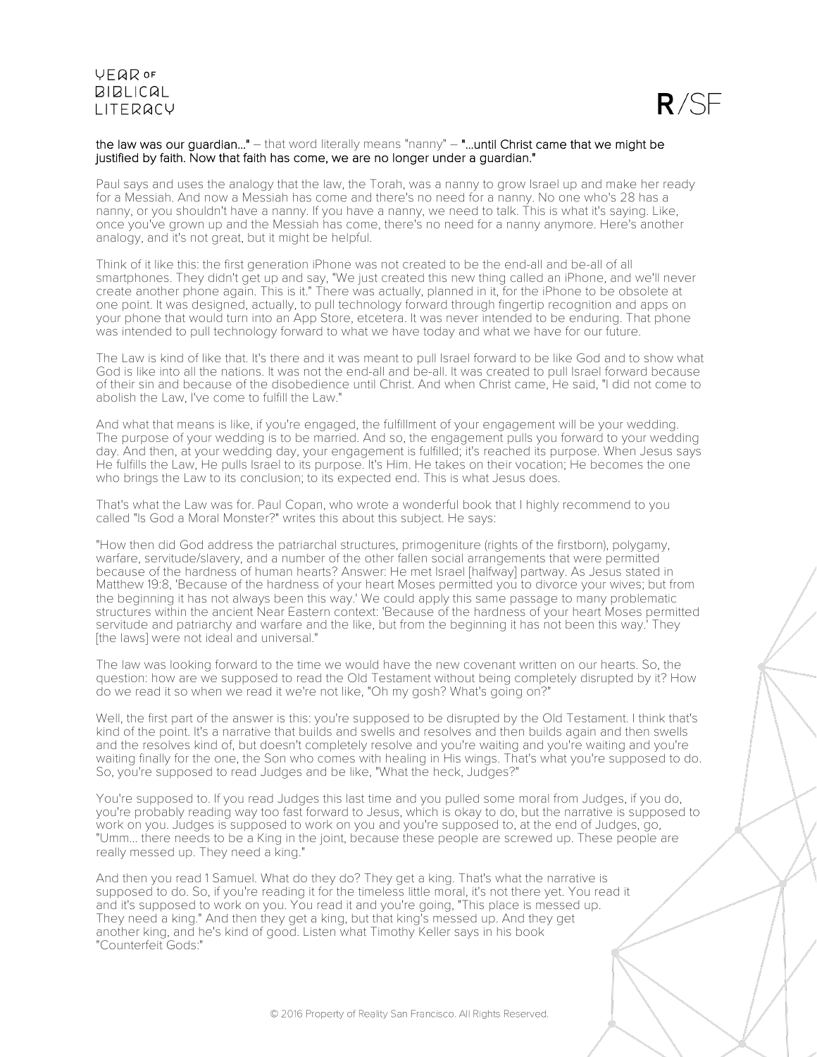

### the law was our guardian..." – that word literally means "nanny" – "...until Christ came that we might be justified by faith. Now that faith has come, we are no longer under a guardian."

Paul says and uses the analogy that the law, the Torah, was a nanny to grow Israel up and make her ready for a Messiah. And now a Messiah has come and there's no need for a nanny. No one who's 28 has a nanny, or you shouldn't have a nanny. If you have a nanny, we need to talk. This is what it's saying. Like, once you've grown up and the Messiah has come, there's no need for a nanny anymore. Here's another analogy, and it's not great, but it might be helpful.

Think of it like this: the first generation iPhone was not created to be the end-all and be-all of all smartphones. They didn't get up and say, "We just created this new thing called an iPhone, and we'll never create another phone again. This is it." There was actually, planned in it, for the iPhone to be obsolete at one point. It was designed, actually, to pull technology forward through fingertip recognition and apps on your phone that would turn into an App Store, etcetera. It was never intended to be enduring. That phone was intended to pull technology forward to what we have today and what we have for our future.

The Law is kind of like that. It's there and it was meant to pull Israel forward to be like God and to show what God is like into all the nations. It was not the end-all and be-all. It was created to pull Israel forward because of their sin and because of the disobedience until Christ. And when Christ came, He said, "I did not come to abolish the Law, I've come to fulfill the Law."

And what that means is like, if you're engaged, the fulfillment of your engagement will be your wedding. The purpose of your wedding is to be married. And so, the engagement pulls you forward to your wedding day. And then, at your wedding day, your engagement is fulfilled; it's reached its purpose. When Jesus says He fulfills the Law, He pulls Israel to its purpose. It's Him. He takes on their vocation; He becomes the one who brings the Law to its conclusion; to its expected end. This is what Jesus does.

That's what the Law was for. Paul Copan, who wrote a wonderful book that I highly recommend to you called "Is God a Moral Monster?" writes this about this subject. He says:

"How then did God address the patriarchal structures, primogeniture (rights of the firstborn), polygamy, warfare, servitude/slavery, and a number of the other fallen social arrangements that were permitted because of the hardness of human hearts? Answer: He met Israel [halfway] partway. As Jesus stated in Matthew 19:8, 'Because of the hardness of your heart Moses permitted you to divorce your wives; but from the beginning it has not always been this way.' We could apply this same passage to many problematic structures within the ancient Near Eastern context: 'Because of the hardness of your heart Moses permitted servitude and patriarchy and warfare and the like, but from the beginning it has not been this way.<sup>'</sup> They [the laws] were not ideal and universal."

The law was looking forward to the time we would have the new covenant written on our hearts. So, the question: how are we supposed to read the Old Testament without being completely disrupted by it? How do we read it so when we read it we're not like, "Oh my gosh? What's going on?"

Well, the first part of the answer is this: you're supposed to be disrupted by the Old Testament. I think that's kind of the point. It's a narrative that builds and swells and resolves and then builds again and then swells and the resolves kind of, but doesn't completely resolve and you're waiting and you're waiting and you're waiting finally for the one, the Son who comes with healing in His wings. That's what you're supposed to do. So, you're supposed to read Judges and be like, "What the heck, Judges?"

You're supposed to. If you read Judges this last time and you pulled some moral from Judges, if you do, you're probably reading way too fast forward to Jesus, which is okay to do, but the narrative is supposed to work on you. Judges is supposed to work on you and you're supposed to, at the end of Judges, go, "Umm... there needs to be a King in the joint, because these people are screwed up. These people are really messed up. They need a king."

And then you read 1 Samuel. What do they do? They get a king. That's what the narrative is supposed to do. So, if you're reading it for the timeless little moral, it's not there yet. You read it and it's supposed to work on you. You read it and you're going, "This place is messed up. They need a king." And then they get a king, but that king's messed up. And they get another king, and he's kind of good. Listen what Timothy Keller says in his book "Counterfeit Gods:"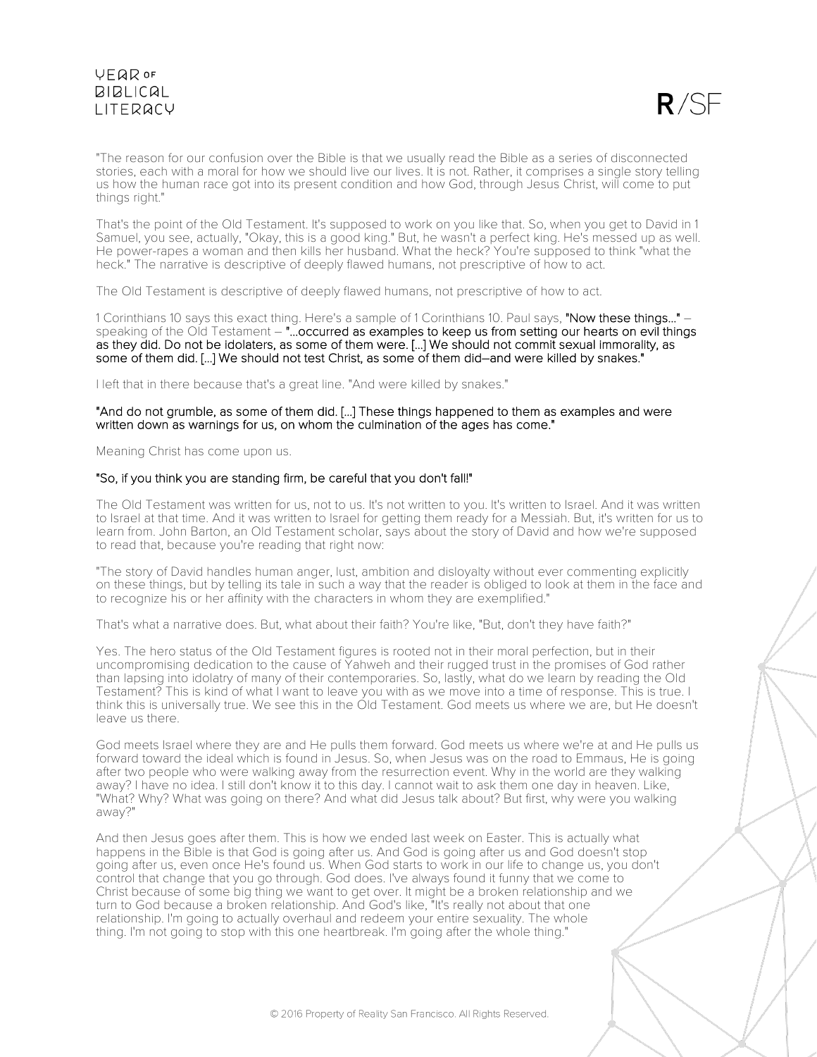

"The reason for our confusion over the Bible is that we usually read the Bible as a series of disconnected stories, each with a moral for how we should live our lives. It is not. Rather, it comprises a single story telling us how the human race got into its present condition and how God, through Jesus Christ, will come to put things right."

That's the point of the Old Testament. It's supposed to work on you like that. So, when you get to David in 1 Samuel, you see, actually, "Okay, this is a good king." But, he wasn't a perfect king. He's messed up as well. He power-rapes a woman and then kills her husband. What the heck? You're supposed to think "what the heck." The narrative is descriptive of deeply flawed humans, not prescriptive of how to act.

The Old Testament is descriptive of deeply flawed humans, not prescriptive of how to act.

1 Corinthians 10 says this exact thing. Here's a sample of 1 Corinthians 10. Paul says, "Now these things..." – speaking of the Old Testament – "...occurred as examples to keep us from setting our hearts on evil things as they did. Do not be idolaters, as some of them were. [...] We should not commit sexual immorality, as some of them did. [...] We should not test Christ, as some of them did–and were killed by snakes."

I left that in there because that's a great line. "And were killed by snakes."

### "And do not grumble, as some of them did. [...] These things happened to them as examples and were written down as warnings for us, on whom the culmination of the ages has come."

Meaning Christ has come upon us.

### "So, if you think you are standing firm, be careful that you don't fall!"

The Old Testament was written for us, not to us. It's not written to you. It's written to Israel. And it was written to Israel at that time. And it was written to Israel for getting them ready for a Messiah. But, it's written for us to learn from. John Barton, an Old Testament scholar, says about the story of David and how we're supposed to read that, because you're reading that right now:

"The story of David handles human anger, lust, ambition and disloyalty without ever commenting explicitly on these things, but by telling its tale in such a way that the reader is obliged to look at them in the face and to recognize his or her affinity with the characters in whom they are exemplified."

That's what a narrative does. But, what about their faith? You're like, "But, don't they have faith?"

Yes. The hero status of the Old Testament figures is rooted not in their moral perfection, but in their uncompromising dedication to the cause of Yahweh and their rugged trust in the promises of God rather than lapsing into idolatry of many of their contemporaries. So, lastly, what do we learn by reading the Old Testament? This is kind of what I want to leave you with as we move into a time of response. This is true. I think this is universally true. We see this in the Old Testament. God meets us where we are, but He doesn't leave us there.

God meets Israel where they are and He pulls them forward. God meets us where we're at and He pulls us forward toward the ideal which is found in Jesus. So, when Jesus was on the road to Emmaus, He is going after two people who were walking away from the resurrection event. Why in the world are they walking away? I have no idea. I still don't know it to this day. I cannot wait to ask them one day in heaven. Like, "What? Why? What was going on there? And what did Jesus talk about? But first, why were you walking away?"

And then Jesus goes after them. This is how we ended last week on Easter. This is actually what happens in the Bible is that God is going after us. And God is going after us and God doesn't stop going after us, even once He's found us. When God starts to work in our life to change us, you don't control that change that you go through. God does. I've always found it funny that we come to Christ because of some big thing we want to get over. It might be a broken relationship and we turn to God because a broken relationship. And God's like, "It's really not about that one relationship. I'm going to actually overhaul and redeem your entire sexuality. The whole thing. I'm not going to stop with this one heartbreak. I'm going after the whole thing."